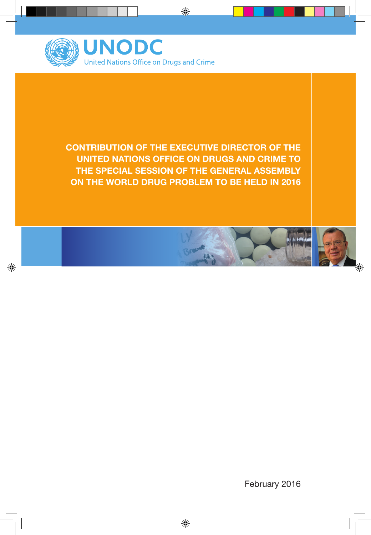

**CONTRIBUTION OF THE EXECUTIVE DIRECTOR OF THE UNITED NATIONS OFFICE ON DRUGS AND CRIME TO THE SPECIAL SESSION OF THE GENERAL ASSEMBLY ON THE WORLD DRUG PROBLEM TO BE HELD IN 2016**

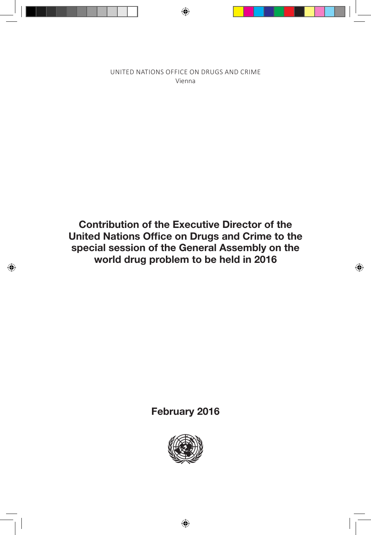UNITED NATIONS OFFICE ON DRUGS AND CRIME Vienna

**Contribution of the Executive Director of the United Nations Office on Drugs and Crime to the special session of the General Assembly on the world drug problem to be held in 2016**

**February 2016**

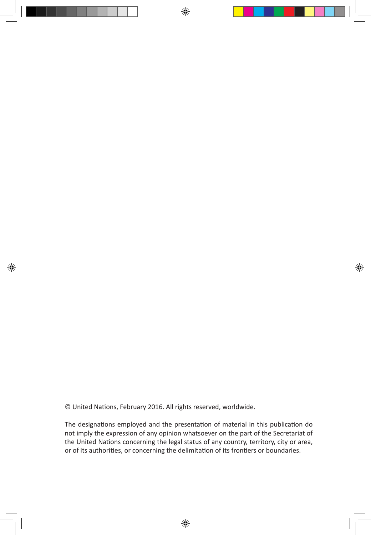© United Nations, February 2016. All rights reserved, worldwide.

The designations employed and the presentation of material in this publication do not imply the expression of any opinion whatsoever on the part of the Secretariat of the United Nations concerning the legal status of any country, territory, city or area, or of its authorities, or concerning the delimitation of its frontiers or boundaries.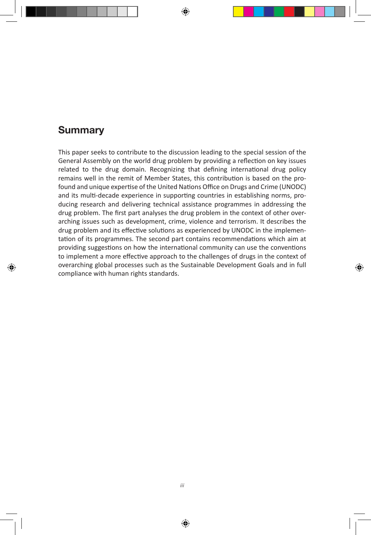# **Summary**

This paper seeks to contribute to the discussion leading to the special session of the General Assembly on the world drug problem by providing a reflection on key issues related to the drug domain. Recognizing that defining international drug policy remains well in the remit of Member States, this contribution is based on the profound and unique expertise of the United Nations Office on Drugs and Crime (UNODC) and its multi-decade experience in supporting countries in establishing norms, producing research and delivering technical assistance programmes in addressing the drug problem. The first part analyses the drug problem in the context of other overarching issues such as development, crime, violence and terrorism. It describes the drug problem and its effective solutions as experienced by UNODC in the implementation of its programmes. The second part contains recommendations which aim at providing suggestions on how the international community can use the conventions to implement a more effective approach to the challenges of drugs in the context of overarching global processes such as the Sustainable Development Goals and in full compliance with human rights standards.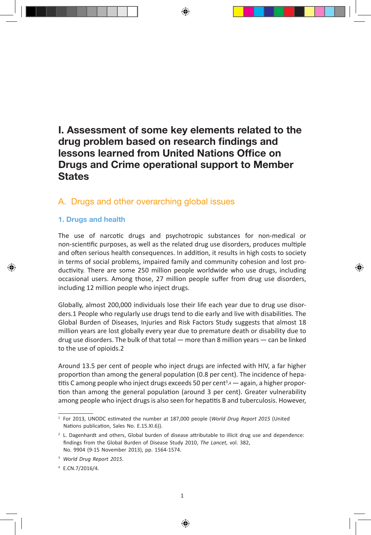# **I. Assessment of some key elements related to the drug problem based on research findings and lessons learned from United Nations Office on Drugs and Crime operational support to Member States**

## A. Drugs and other overarching global issues

#### **1. Drugs and health**

The use of narcotic drugs and psychotropic substances for non-medical or non-scientific purposes, as well as the related drug use disorders, produces multiple and often serious health consequences. In addition, it results in high costs to society in terms of social problems, impaired family and community cohesion and lost productivity. There are some 250 million people worldwide who use drugs, including occasional users. Among those, 27 million people suffer from drug use disorders, including 12 million people who inject drugs.

Globally, almost 200,000 individuals lose their life each year due to drug use disorders.1 People who regularly use drugs tend to die early and live with disabilities. The Global Burden of Diseases, Injuries and Risk Factors Study suggests that almost 18 million years are lost globally every year due to premature death or disability due to drug use disorders. The bulk of that total — more than 8 million years — can be linked to the use of opioids.2

Around 13.5 per cent of people who inject drugs are infected with HIV, a far higher proportion than among the general population (0.8 per cent). The incidence of hepatitis C among people who inject drugs exceeds 50 per cent<sup>3</sup>,4 — again, a higher proportion than among the general population (around 3 per cent). Greater vulnerability among people who inject drugs is also seen for hepatitis B and tuberculosis. However,

<sup>1</sup>   For 2013, UNODC estimated the number at 187,000 people (*World Drug Report 2015* (United Nations publication, Sales No. E.15.XI.6)).

<sup>&</sup>lt;sup>2</sup> L. Dagenhardt and others, Global burden of disease attributable to illicit drug use and dependence: findings from the Global Burden of Disease Study 2010, *The Lancet*, vol. 382, No. 9904 (9-15 November 2013), pp. 1564-1574.

<sup>3</sup>   *World Drug Report 2015*.

<sup>4</sup>   E.CN.7/2016/4.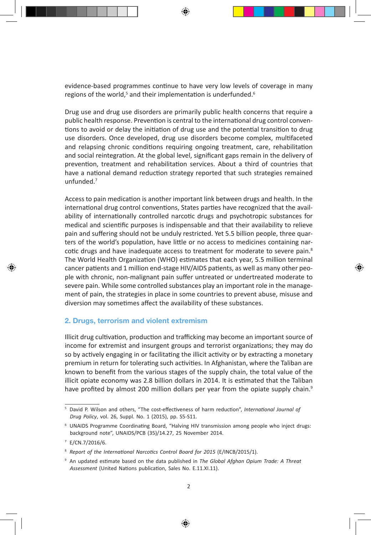evidence-based programmes continue to have very low levels of coverage in many regions of the world,<sup>5</sup> and their implementation is underfunded.<sup>6</sup>

Drug use and drug use disorders are primarily public health concerns that require a public health response. Prevention is central to the international drug control conventions to avoid or delay the initiation of drug use and the potential transition to drug use disorders. Once developed, drug use disorders become complex, multifaceted and relapsing chronic conditions requiring ongoing treatment, care, rehabilitation and social reintegration. At the global level, significant gaps remain in the delivery of prevention, treatment and rehabilitation services. About a third of countries that have a national demand reduction strategy reported that such strategies remained unfunded.7

Access to pain medication is another important link between drugs and health. In the international drug control conventions, States parties have recognized that the availability of internationally controlled narcotic drugs and psychotropic substances for medical and scientific purposes is indispensable and that their availability to relieve pain and suffering should not be unduly restricted. Yet 5.5 billion people, three quarters of the world's population, have little or no access to medicines containing narcotic drugs and have inadequate access to treatment for moderate to severe pain.<sup>8</sup> The World Health Organization (WHO) estimates that each year, 5.5 million terminal cancer patients and 1 million end-stage HIV/AIDS patients, as well as many other people with chronic, non-malignant pain suffer untreated or undertreated moderate to severe pain. While some controlled substances play an important role in the management of pain, the strategies in place in some countries to prevent abuse, misuse and diversion may sometimes affect the availability of these substances.

#### **2. Drugs, terrorism and violent extremism**

Illicit drug cultivation, production and trafficking may become an important source of income for extremist and insurgent groups and terrorist organizations; they may do so by actively engaging in or facilitating the illicit activity or by extracting a monetary premium in return for tolerating such activities. In Afghanistan, where the Taliban are known to benefit from the various stages of the supply chain, the total value of the illicit opiate economy was 2.8 billion dollars in 2014. It is estimated that the Taliban have profited by almost 200 million dollars per year from the opiate supply chain.<sup>9</sup>

<sup>5</sup>   David P. Wilson and others, "The cost-effectiveness of harm reduction", *International Journal of Drug Policy*, vol. 26, Suppl. No. 1 (2015), pp. S5-S11.

<sup>6</sup>   UNAIDS Programme Coordinating Board, "Halving HIV transmission among people who inject drugs: background note", UNAIDS/PCB (35)/14.27, 25 November 2014.

<sup>7</sup>   E/CN.7/2016/6.

<sup>8</sup>   *Report of the International Narcotics Control Board for 2015* (E/INCB/2015/1).

<sup>9</sup>   An updated estimate based on the data published in *The Global Afghan Opium Trade: A Threat Assessment* (United Nations publication, Sales No. E.11.XI.11).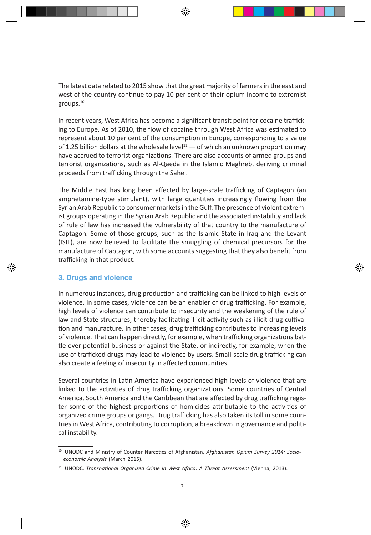The latest data related to 2015 show that the great majority of farmers in the east and west of the country continue to pay 10 per cent of their opium income to extremist groups.10

In recent years, West Africa has become a significant transit point for cocaine trafficking to Europe. As of 2010, the flow of cocaine through West Africa was estimated to represent about 10 per cent of the consumption in Europe, corresponding to a value of 1.25 billion dollars at the wholesale level<sup>11</sup> — of which an unknown proportion may have accrued to terrorist organizations. There are also accounts of armed groups and terrorist organizations, such as Al-Qaeda in the Islamic Maghreb, deriving criminal proceeds from trafficking through the Sahel.

The Middle East has long been affected by large-scale trafficking of Captagon (an amphetamine-type stimulant), with large quantities increasingly flowing from the Syrian Arab Republic to consumer markets in the Gulf. The presence of violent extremist groups operating in the Syrian Arab Republic and the associated instability and lack of rule of law has increased the vulnerability of that country to the manufacture of Captagon. Some of those groups, such as the Islamic State in Iraq and the Levant (ISIL), are now believed to facilitate the smuggling of chemical precursors for the manufacture of Captagon, with some accounts suggesting that they also benefit from trafficking in that product.

#### **3. Drugs and violence**

In numerous instances, drug production and trafficking can be linked to high levels of violence. In some cases, violence can be an enabler of drug trafficking. For example, high levels of violence can contribute to insecurity and the weakening of the rule of law and State structures, thereby facilitating illicit activity such as illicit drug cultivation and manufacture. In other cases, drug trafficking contributes to increasing levels of violence. That can happen directly, for example, when trafficking organizations battle over potential business or against the State, or indirectly, for example, when the use of trafficked drugs may lead to violence by users. Small-scale drug trafficking can also create a feeling of insecurity in affected communities.

Several countries in Latin America have experienced high levels of violence that are linked to the activities of drug trafficking organizations. Some countries of Central America, South America and the Caribbean that are affected by drug trafficking register some of the highest proportions of homicides attributable to the activities of organized crime groups or gangs. Drug trafficking has also taken its toll in some countries in West Africa, contributing to corruption, a breakdown in governance and political instability.

<sup>&</sup>lt;sup>10</sup> UNODC and Ministry of Counter Narcotics of Afghanistan, Afghanistan Opium Survey 2014: Socio*economic Analysis* (March 2015).

<sup>11</sup> UNODC, *Transnational Organized Crime in West Africa: A Threat Assessment* (Vienna, 2013).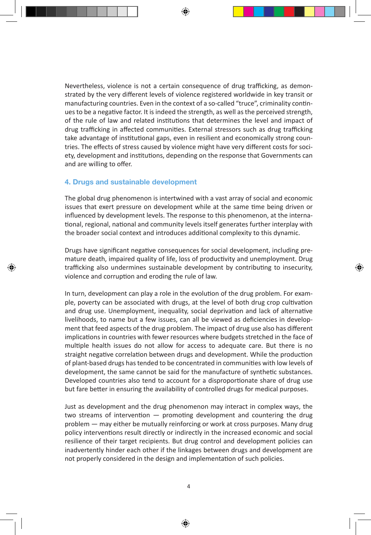Nevertheless, violence is not a certain consequence of drug trafficking, as demonstrated by the very different levels of violence registered worldwide in key transit or manufacturing countries. Even in the context of a so-called "truce", criminality continues to be a negative factor. It is indeed the strength, as well as the perceived strength, of the rule of law and related institutions that determines the level and impact of drug trafficking in affected communities. External stressors such as drug trafficking take advantage of institutional gaps, even in resilient and economically strong countries. The effects of stress caused by violence might have very different costs for society, development and institutions, depending on the response that Governments can and are willing to offer.

#### **4. Drugs and sustainable development**

The global drug phenomenon is intertwined with a vast array of social and economic issues that exert pressure on development while at the same time being driven or influenced by development levels. The response to this phenomenon, at the international, regional, national and community levels itself generates further interplay with the broader social context and introduces additional complexity to this dynamic.

Drugs have significant negative consequences for social development, including premature death, impaired quality of life, loss of productivity and unemployment. Drug trafficking also undermines sustainable development by contributing to insecurity, violence and corruption and eroding the rule of law.

In turn, development can play a role in the evolution of the drug problem. For example, poverty can be associated with drugs, at the level of both drug crop cultivation and drug use. Unemployment, inequality, social deprivation and lack of alternative livelihoods, to name but a few issues, can all be viewed as deficiencies in development that feed aspects of the drug problem. The impact of drug use also has different implications in countries with fewer resources where budgets stretched in the face of multiple health issues do not allow for access to adequate care. But there is no straight negative correlation between drugs and development. While the production of plant-based drugs has tended to be concentrated in communities with low levels of development, the same cannot be said for the manufacture of synthetic substances. Developed countries also tend to account for a disproportionate share of drug use but fare better in ensuring the availability of controlled drugs for medical purposes.

Just as development and the drug phenomenon may interact in complex ways, the two streams of intervention — promoting development and countering the drug problem — may either be mutually reinforcing or work at cross purposes. Many drug policy interventions result directly or indirectly in the increased economic and social resilience of their target recipients. But drug control and development policies can inadvertently hinder each other if the linkages between drugs and development are not properly considered in the design and implementation of such policies.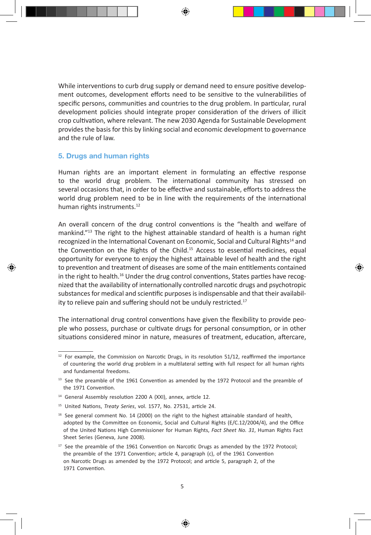While interventions to curb drug supply or demand need to ensure positive development outcomes, development efforts need to be sensitive to the vulnerabilities of specific persons, communities and countries to the drug problem. In particular, rural development policies should integrate proper consideration of the drivers of illicit crop cultivation, where relevant. The new 2030 Agenda for Sustainable Development provides the basis for this by linking social and economic development to governance and the rule of law.

#### **5. Drugs and human rights**

Human rights are an important element in formulating an effective response to the world drug problem. The international community has stressed on several occasions that, in order to be effective and sustainable, efforts to address the world drug problem need to be in line with the requirements of the international human rights instruments.<sup>12</sup>

An overall concern of the drug control conventions is the "health and welfare of mankind."13 The right to the highest attainable standard of health is a human right recognized in the International Covenant on Economic, Social and Cultural Rights<sup>14</sup> and the Convention on the Rights of the Child.<sup>15</sup> Access to essential medicines, equal opportunity for everyone to enjoy the highest attainable level of health and the right to prevention and treatment of diseases are some of the main entitlements contained in the right to health.<sup>16</sup> Under the drug control conventions, States parties have recognized that the availability of internationally controlled narcotic drugs and psychotropic substances for medical and scientific purposes is indispensable and that their availability to relieve pain and suffering should not be unduly restricted.<sup>17</sup>

The international drug control conventions have given the flexibility to provide people who possess, purchase or cultivate drugs for personal consumption, or in other situations considered minor in nature, measures of treatment, education, aftercare,

<sup>&</sup>lt;sup>12</sup> For example, the Commission on Narcotic Drugs, in its resolution 51/12, reaffirmed the importance of countering the world drug problem in a multilateral setting with full respect for all human rights and fundamental freedoms.

<sup>&</sup>lt;sup>13</sup> See the preamble of the 1961 Convention as amended by the 1972 Protocol and the preamble of the 1971 Convention.

<sup>&</sup>lt;sup>14</sup> General Assembly resolution 2200 A (XXI), annex, article 12.

<sup>15</sup> United Nations, *Treaty Series*, vol. 1577, No. 27531, article 24.

<sup>16</sup> See general comment No. 14 (2000) on the right to the highest attainable standard of health, adopted by the Committee on Economic, Social and Cultural Rights (E/C.12/2004/4), and the Office of the United Nations High Commissioner for Human Rights, *Fact Sheet No. 31*, Human Rights Fact Sheet Series (Geneva, June 2008).

<sup>&</sup>lt;sup>17</sup> See the preamble of the 1961 Convention on Narcotic Drugs as amended by the 1972 Protocol; the preamble of the 1971 Convention; article 4, paragraph (c), of the 1961 Convention on Narcotic Drugs as amended by the 1972 Protocol; and article 5, paragraph 2, of the 1971 Convention.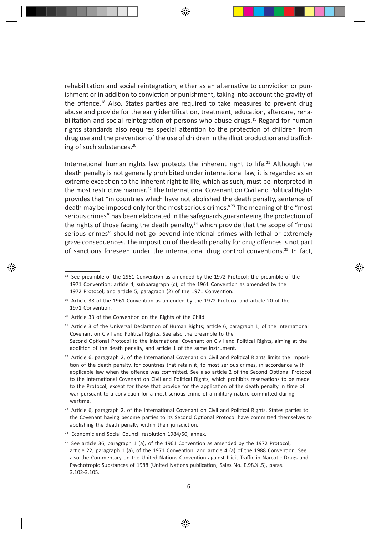rehabilitation and social reintegration, either as an alternative to conviction or punishment or in addition to conviction or punishment, taking into account the gravity of the offence.<sup>18</sup> Also, States parties are required to take measures to prevent drug abuse and provide for the early identification, treatment, education, aftercare, rehabilitation and social reintegration of persons who abuse drugs.<sup>19</sup> Regard for human rights standards also requires special attention to the protection of children from drug use and the prevention of the use of children in the illicit production and trafficking of such substances.<sup>20</sup>

International human rights law protects the inherent right to life.<sup>21</sup> Although the death penalty is not generally prohibited under international law, it is regarded as an extreme exception to the inherent right to life, which as such, must be interpreted in the most restrictive manner.<sup>22</sup> The International Covenant on Civil and Political Rights provides that "in countries which have not abolished the death penalty, sentence of death may be imposed only for the most serious crimes."<sup>23</sup> The meaning of the "most serious crimes" has been elaborated in the safeguards guaranteeing the protection of the rights of those facing the death penalty, $24$  which provide that the scope of "most serious crimes" should not go beyond intentional crimes with lethal or extremely grave consequences. The imposition of the death penalty for drug offences is not part of sanctions foreseen under the international drug control conventions.25 In fact,

<sup>&</sup>lt;sup>18</sup> See preamble of the 1961 Convention as amended by the 1972 Protocol; the preamble of the 1971 Convention; article 4, subparagraph (c), of the 1961 Convention as amended by the 1972 Protocol; and article 5, paragraph (2) of the 1971 Convention.

<sup>&</sup>lt;sup>19</sup> Article 38 of the 1961 Convention as amended by the 1972 Protocol and article 20 of the 1971 Convention.

<sup>20</sup> Article 33 of the Convention on the Rights of the Child.

 $21$  Article 3 of the Universal Declaration of Human Rights; article 6, paragraph 1, of the International Covenant on Civil and Political Rights. See also the preamble to the Second Optional Protocol to the International Covenant on Civil and Political Rights, aiming at the abolition of the death penalty, and article 1 of the same instrument.

 $22$  Article 6, paragraph 2, of the International Covenant on Civil and Political Rights limits the imposition of the death penalty, for countries that retain it, to most serious crimes, in accordance with applicable law when the offence was committed. See also article 2 of the Second Optional Protocol to the International Covenant on Civil and Political Rights, which prohibits reservations to be made to the Protocol, except for those that provide for the application of the death penalty in time of war pursuant to a conviction for a most serious crime of a military nature committed during wartime.

 $23$  Article 6, paragraph 2, of the International Covenant on Civil and Political Rights. States parties to the Covenant having become parties to its Second Optional Protocol have committed themselves to abolishing the death penalty within their jurisdiction.

<sup>&</sup>lt;sup>24</sup> Economic and Social Council resolution 1984/50, annex.

 $25$  See article 36, paragraph 1 (a), of the 1961 Convention as amended by the 1972 Protocol; article 22, paragraph 1 (a), of the 1971 Convention; and article 4 (a) of the 1988 Convention. See also the Commentary on the United Nations Convention against Illicit Traffic in Narcotic Drugs and Psychotropic Substances of 1988 (United Nations publication, Sales No. E.98.XI.5), paras. 3.102-3.105.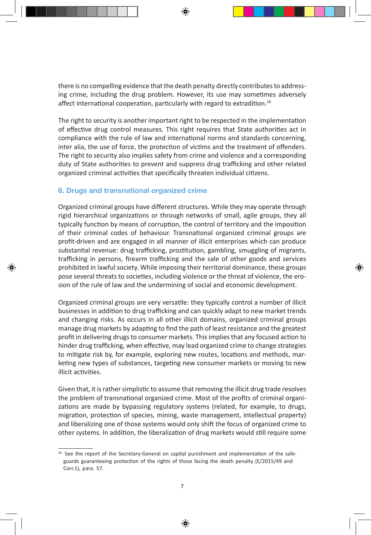there is no compelling evidence that the death penalty directly contributes to addressing crime, including the drug problem. However, its use may sometimes adversely affect international cooperation, particularly with regard to extradition.<sup>26</sup>

The right to security is another important right to be respected in the implementation of effective drug control measures. This right requires that State authorities act in compliance with the rule of law and international norms and standards concerning, inter alia, the use of force, the protection of victims and the treatment of offenders. The right to security also implies safety from crime and violence and a corresponding duty of State authorities to prevent and suppress drug trafficking and other related organized criminal activities that specifically threaten individual citizens.

#### **6. Drugs and transnational organized crime**

Organized criminal groups have different structures. While they may operate through rigid hierarchical organizations or through networks of small, agile groups, they all typically function by means of corruption, the control of territory and the imposition of their criminal codes of behaviour. Transnational organized criminal groups are profit-driven and are engaged in all manner of illicit enterprises which can produce substantial revenue: drug trafficking, prostitution, gambling, smuggling of migrants, trafficking in persons, firearm trafficking and the sale of other goods and services prohibited in lawful society. While imposing their territorial dominance, these groups pose several threats to societies, including violence or the threat of violence, the erosion of the rule of law and the undermining of social and economic development.

Organized criminal groups are very versatile: they typically control a number of illicit businesses in addition to drug trafficking and can quickly adapt to new market trends and changing risks. As occurs in all other illicit domains, organized criminal groups manage drug markets by adapting to find the path of least resistance and the greatest profit in delivering drugs to consumer markets. This implies that any focused action to hinder drug trafficking, when effective, may lead organized crime to change strategies to mitigate risk by, for example, exploring new routes, locations and methods, marketing new types of substances, targeting new consumer markets or moving to new illicit activities.

Given that, it is rather simplistic to assume that removing the illicit drug trade resolves the problem of transnational organized crime. Most of the profits of criminal organizations are made by bypassing regulatory systems (related, for example, to drugs, migration, protection of species, mining, waste management, intellectual property) and liberalizing one of those systems would only shift the focus of organized crime to other systems. In addition, the liberalization of drug markets would still require some

<sup>&</sup>lt;sup>26</sup> See the report of the Secretary-General on capital punishment and implementation of the safeguards guaranteeing protection of the rights of those facing the death penalty (E/2015/49 and Corr.1), para. 57.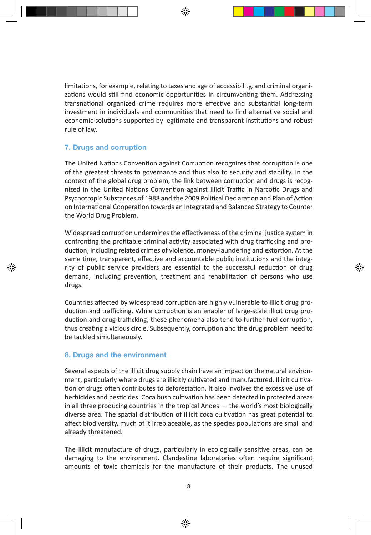limitations, for example, relating to taxes and age of accessibility, and criminal organizations would still find economic opportunities in circumventing them. Addressing transnational organized crime requires more effective and substantial long-term investment in individuals and communities that need to find alternative social and economic solutions supported by legitimate and transparent institutions and robust rule of law.

#### **7. Drugs and corruption**

The United Nations Convention against Corruption recognizes that corruption is one of the greatest threats to governance and thus also to security and stability. In the context of the global drug problem, the link between corruption and drugs is recognized in the United Nations Convention against Illicit Traffic in Narcotic Drugs and Psychotropic Substances of 1988 and the 2009 Political Declaration and Plan of Action on International Cooperation towards an Integrated and Balanced Strategy to Counter the World Drug Problem.

Widespread corruption undermines the effectiveness of the criminal justice system in confronting the profitable criminal activity associated with drug trafficking and production, including related crimes of violence, money-laundering and extortion. At the same time, transparent, effective and accountable public institutions and the integrity of public service providers are essential to the successful reduction of drug demand, including prevention, treatment and rehabilitation of persons who use drugs.

Countries affected by widespread corruption are highly vulnerable to illicit drug production and trafficking. While corruption is an enabler of large-scale illicit drug production and drug trafficking, these phenomena also tend to further fuel corruption, thus creating a vicious circle. Subsequently, corruption and the drug problem need to be tackled simultaneously.

#### **8. Drugs and the environment**

Several aspects of the illicit drug supply chain have an impact on the natural environment, particularly where drugs are illicitly cultivated and manufactured. Illicit cultivation of drugs often contributes to deforestation. It also involves the excessive use of herbicides and pesticides. Coca bush cultivation has been detected in protected areas in all three producing countries in the tropical Andes — the world's most biologically diverse area. The spatial distribution of illicit coca cultivation has great potential to affect biodiversity, much of it irreplaceable, as the species populations are small and already threatened.

The illicit manufacture of drugs, particularly in ecologically sensitive areas, can be damaging to the environment. Clandestine laboratories often require significant amounts of toxic chemicals for the manufacture of their products. The unused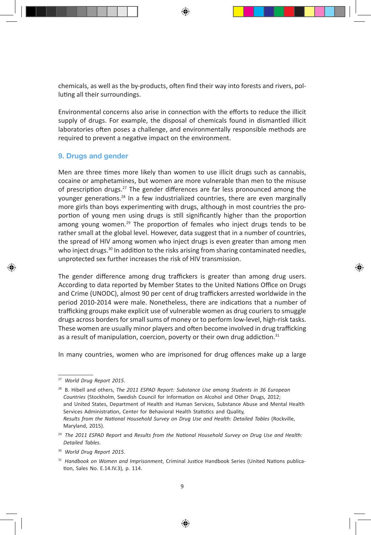chemicals, as well as the by-products, often find their way into forests and rivers, polluting all their surroundings.

Environmental concerns also arise in connection with the efforts to reduce the illicit supply of drugs. For example, the disposal of chemicals found in dismantled illicit laboratories often poses a challenge, and environmentally responsible methods are required to prevent a negative impact on the environment.

#### **9. Drugs and gender**

Men are three times more likely than women to use illicit drugs such as cannabis, cocaine or amphetamines, but women are more vulnerable than men to the misuse of prescription drugs.<sup>27</sup> The gender differences are far less pronounced among the younger generations.28 In a few industrialized countries, there are even marginally more girls than boys experimenting with drugs, although in most countries the proportion of young men using drugs is still significantly higher than the proportion among young women.<sup>29</sup> The proportion of females who inject drugs tends to be rather small at the global level. However, data suggest that in a number of countries, the spread of HIV among women who inject drugs is even greater than among men who inject drugs. $30 \text{ In addition to the risks arising from sharing contaminated needles, }$ unprotected sex further increases the risk of HIV transmission.

The gender difference among drug traffickers is greater than among drug users. According to data reported by Member States to the United Nations Office on Drugs and Crime (UNODC), almost 90 per cent of drug traffickers arrested worldwide in the period 2010-2014 were male. Nonetheless, there are indications that a number of trafficking groups make explicit use of vulnerable women as drug couriers to smuggle drugs across borders for small sums of money or to perform low-level, high-risk tasks. These women are usually minor players and often become involved in drug trafficking as a result of manipulation, coercion, poverty or their own drug addiction. $31$ 

In many countries, women who are imprisoned for drug offences make up a large

<sup>27</sup> *World Drug Report 2015*.

<sup>28</sup> B. Hibell and others, *The 2011 ESPAD Report: Substance Use among Students in 36 European Countries* (Stockholm, Swedish Council for Information on Alcohol and Other Drugs, 2012; and United States, Department of Health and Human Services, Substance Abuse and Mental Health Services Administration, Center for Behavioral Health Statistics and Quality, *Results from the National Household Survey on Drug Use and Health: Detailed Tables* (Rockville, Maryland, 2015).

<sup>29</sup> *The 2011 ESPAD Report* and *Results from the National Household Survey on Drug Use and Health: Detailed Tables*.

<sup>30</sup> *World Drug Report 2015*.

<sup>31</sup> *Handbook on Women and Imprisonment*, Criminal Justice Handbook Series (United Nations publication, Sales No. E.14.IV.3), p. 114.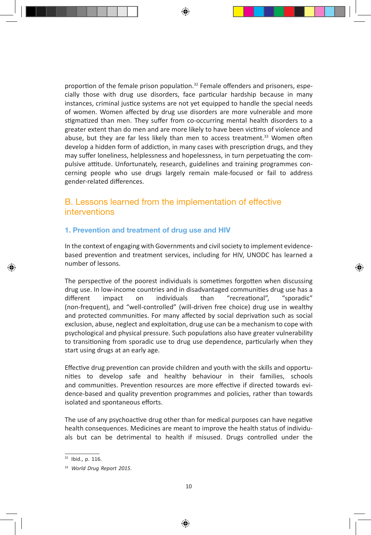proportion of the female prison population. $32$  Female offenders and prisoners, especially those with drug use disorders, face particular hardship because in many instances, criminal justice systems are not yet equipped to handle the special needs of women. Women affected by drug use disorders are more vulnerable and more stigmatized than men. They suffer from co-occurring mental health disorders to a greater extent than do men and are more likely to have been victims of violence and abuse, but they are far less likely than men to access treatment.<sup>33</sup> Women often develop a hidden form of addiction, in many cases with prescription drugs, and they may suffer loneliness, helplessness and hopelessness, in turn perpetuating the compulsive attitude. Unfortunately, research, guidelines and training programmes concerning people who use drugs largely remain male-focused or fail to address gender-related differences.

## B. Lessons learned from the implementation of effective interventions

#### **1. Prevention and treatment of drug use and HIV**

In the context of engaging with Governments and civil society to implement evidencebased prevention and treatment services, including for HIV, UNODC has learned a number of lessons.

The perspective of the poorest individuals is sometimes forgotten when discussing drug use. In low-income countries and in disadvantaged communities drug use has a different impact on individuals than "recreational", "sporadic" (non-frequent), and "well-controlled" (will-driven free choice) drug use in wealthy and protected communities. For many affected by social deprivation such as social exclusion, abuse, neglect and exploitation, drug use can be a mechanism to cope with psychological and physical pressure. Such populations also have greater vulnerability to transitioning from sporadic use to drug use dependence, particularly when they start using drugs at an early age.

Effective drug prevention can provide children and youth with the skills and opportunities to develop safe and healthy behaviour in their families, schools and communities. Prevention resources are more effective if directed towards evidence-based and quality prevention programmes and policies, rather than towards isolated and spontaneous efforts.

The use of any psychoactive drug other than for medical purposes can have negative health consequences. Medicines are meant to improve the health status of individuals but can be detrimental to health if misused. Drugs controlled under the

<sup>32</sup> Ibid., p. 116.

<sup>33</sup> *World Drug Report 2015*.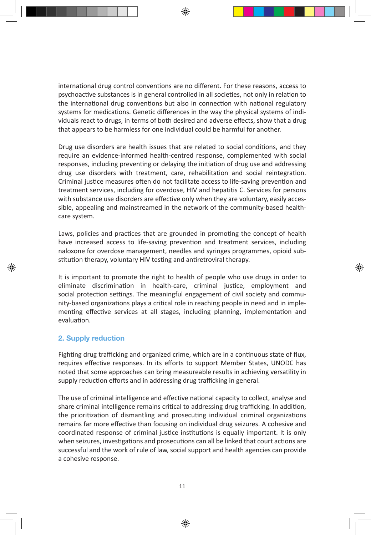international drug control conventions are no different. For these reasons, access to psychoactive substances is in general controlled in all societies, not only in relation to the international drug conventions but also in connection with national regulatory systems for medications. Genetic differences in the way the physical systems of individuals react to drugs, in terms of both desired and adverse effects, show that a drug that appears to be harmless for one individual could be harmful for another.

Drug use disorders are health issues that are related to social conditions, and they require an evidence-informed health-centred response, complemented with social responses, including preventing or delaying the initiation of drug use and addressing drug use disorders with treatment, care, rehabilitation and social reintegration. Criminal justice measures often do not facilitate access to life-saving prevention and treatment services, including for overdose, HIV and hepatitis C. Services for persons with substance use disorders are effective only when they are voluntary, easily accessible, appealing and mainstreamed in the network of the community-based healthcare system.

Laws, policies and practices that are grounded in promoting the concept of health have increased access to life-saving prevention and treatment services, including naloxone for overdose management, needles and syringes programmes, opioid substitution therapy, voluntary HIV testing and antiretroviral therapy.

It is important to promote the right to health of people who use drugs in order to eliminate discrimination in health-care, criminal justice, employment and social protection settings. The meaningful engagement of civil society and community-based organizations plays a critical role in reaching people in need and in implementing effective services at all stages, including planning, implementation and evaluation.

#### **2. Supply reduction**

Fighting drug trafficking and organized crime, which are in a continuous state of flux, requires effective responses. In its efforts to support Member States, UNODC has noted that some approaches can bring measureable results in achieving versatility in supply reduction efforts and in addressing drug trafficking in general.

The use of criminal intelligence and effective national capacity to collect, analyse and share criminal intelligence remains critical to addressing drug trafficking. In addition, the prioritization of dismantling and prosecuting individual criminal organizations remains far more effective than focusing on individual drug seizures. A cohesive and coordinated response of criminal justice institutions is equally important. It is only when seizures, investigations and prosecutions can all be linked that court actions are successful and the work of rule of law, social support and health agencies can provide a cohesive response.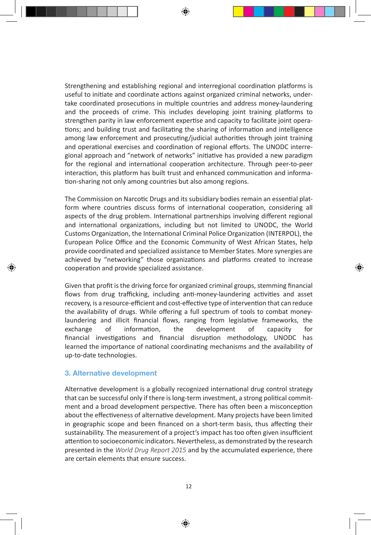Strengthening and establishing regional and interregional coordination platforms is useful to initiate and coordinate actions against organized criminal networks, undertake coordinated prosecutions in multiple countries and address money-laundering and the proceeds of crime. This includes developing joint training platforms to strengthen parity in law enforcement expertise and capacity to facilitate joint operations; and building trust and facilitating the sharing of information and intelligence among law enforcement and prosecuting/judicial authorities through joint training and operational exercises and coordination of regional efforts. The UNODC interregional approach and "network of networks" initiative has provided a new paradigm for the regional and international cooperation architecture. Through peer-to-peer interaction, this platform has built trust and enhanced communication and information-sharing not only among countries but also among regions.

The Commission on Narcotic Drugs and its subsidiary bodies remain an essential platform where countries discuss forms of international cooperation, considering all aspects of the drug problem. International partnerships involving different regional and international organizations, including but not limited to UNODC, the World Customs Organization, the International Criminal Police Organization (INTERPOL), the European Police Office and the Economic Community of West African States, help provide coordinated and specialized assistance to Member States. More synergies are achieved by "networking" those organizations and platforms created to increase cooperation and provide specialized assistance.

Given that profit is the driving force for organized criminal groups, stemming financial flows from drug trafficking, including anti-money-laundering activities and asset recovery, is a resource-efficient and cost-effective type of intervention that can reduce the availability of drugs. While offering a full spectrum of tools to combat moneylaundering and illicit financial flows, ranging from legislative frameworks, the exchange of information, the development of capacity for financial investigations and financial disruption methodology, UNODC has learned the importance of national coordinating mechanisms and the availability of up-to-date technologies.

#### **3. Alternative development**

Alternative development is a globally recognized international drug control strategy that can be successful only if there is long-term investment, a strong political commitment and a broad development perspective. There has often been a misconception about the effectiveness of alternative development. Many projects have been limited in geographic scope and been financed on a short-term basis, thus affecting their sustainability. The measurement of a project's impact has too often given insufficient attention to socioeconomic indicators. Nevertheless, as demonstrated by the research presented in the *World Drug Report 2015* and by the accumulated experience, there are certain elements that ensure success.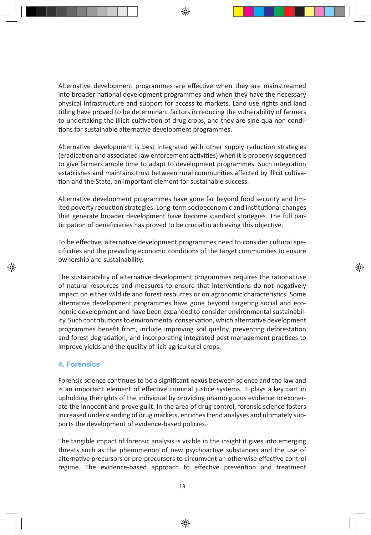Alternative development programmes are effective when they are mainstreamed into broader national development programmes and when they have the necessary physical infrastructure and support for access to markets. Land use rights and land titling have proved to be determinant factors in reducing the vulnerability of farmers to undertaking the illicit cultivation of drug crops, and they are sine qua non conditions for sustainable alternative development programmes.

Alternative development is best integrated with other supply reduction strategies (eradication and associated law enforcement activities) when it is properly sequenced to give farmers ample time to adapt to development programmes. Such integration establishes and maintains trust between rural communities affected by illicit cultivation and the State, an important element for sustainable success.

Alternative development programmes have gone far beyond food security and limited poverty reduction strategies. Long-term socioeconomic and institutional changes that generate broader development have become standard strategies. The full participation of beneficiaries has proved to be crucial in achieving this objective.

To be effective, alternative development programmes need to consider cultural specificities and the prevailing economic conditions of the target communities to ensure ownership and sustainability.

The sustainability of alternative development programmes requires the rational use of natural resources and measures to ensure that interventions do not negatively impact on either wildlife and forest resources or on agronomic characteristics. Some alternative development programmes have gone beyond targeting social and economic development and have been expanded to consider environmental sustainability. Such contributions to environmental conservation, which alternative development programmes benefit from, include improving soil quality, preventing deforestation and forest degradation, and incorporating integrated pest management practices to improve yields and the quality of licit agricultural crops.

#### **4. Forensics**

Forensic science continues to be a significant nexus between science and the law and is an important element of effective criminal justice systems. It plays a key part in upholding the rights of the individual by providing unambiguous evidence to exonerate the innocent and prove guilt. In the area of drug control, forensic science fosters increased understanding of drug markets, enriches trend analyses and ultimately supports the development of evidence-based policies.

The tangible impact of forensic analysis is visible in the insight it gives into emerging threats such as the phenomenon of new psychoactive substances and the use of alternative precursors or pre-precursors to circumvent an otherwise effective control regime. The evidence-based approach to effective prevention and treatment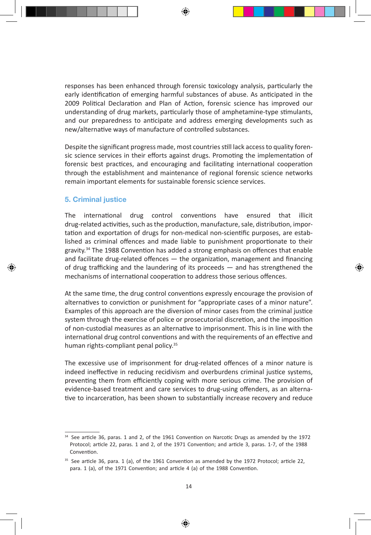responses has been enhanced through forensic toxicology analysis, particularly the early identification of emerging harmful substances of abuse. As anticipated in the 2009 Political Declaration and Plan of Action, forensic science has improved our understanding of drug markets, particularly those of amphetamine-type stimulants, and our preparedness to anticipate and address emerging developments such as new/alternative ways of manufacture of controlled substances.

Despite the significant progress made, most countries still lack access to quality forensic science services in their efforts against drugs. Promoting the implementation of forensic best practices, and encouraging and facilitating international cooperation through the establishment and maintenance of regional forensic science networks remain important elements for sustainable forensic science services.

#### **5. Criminal justice**

The international drug control conventions have ensured that illicit drug-related activities, such as the production, manufacture, sale, distribution, importation and exportation of drugs for non-medical non-scientific purposes, are established as criminal offences and made liable to punishment proportionate to their gravity. $34$  The 1988 Convention has added a strong emphasis on offences that enable and facilitate drug-related offences  $-$  the organization, management and financing of drug trafficking and the laundering of its proceeds — and has strengthened the mechanisms of international cooperation to address those serious offences.

At the same time, the drug control conventions expressly encourage the provision of alternatives to conviction or punishment for "appropriate cases of a minor nature". Examples of this approach are the diversion of minor cases from the criminal justice system through the exercise of police or prosecutorial discretion, and the imposition of non-custodial measures as an alternative to imprisonment. This is in line with the international drug control conventions and with the requirements of an effective and human rights-compliant penal policy.35

The excessive use of imprisonment for drug-related offences of a minor nature is indeed ineffective in reducing recidivism and overburdens criminal justice systems, preventing them from efficiently coping with more serious crime. The provision of evidence-based treatment and care services to drug-using offenders, as an alternative to incarceration, has been shown to substantially increase recovery and reduce

<sup>&</sup>lt;sup>34</sup> See article 36, paras. 1 and 2, of the 1961 Convention on Narcotic Drugs as amended by the 1972 Protocol; article 22, paras. 1 and 2, of the 1971 Convention; and article 3, paras. 1-7, of the 1988 Convention.

<sup>&</sup>lt;sup>35</sup> See article 36, para. 1 (a), of the 1961 Convention as amended by the 1972 Protocol; article 22, para. 1 (a), of the 1971 Convention; and article 4 (a) of the 1988 Convention.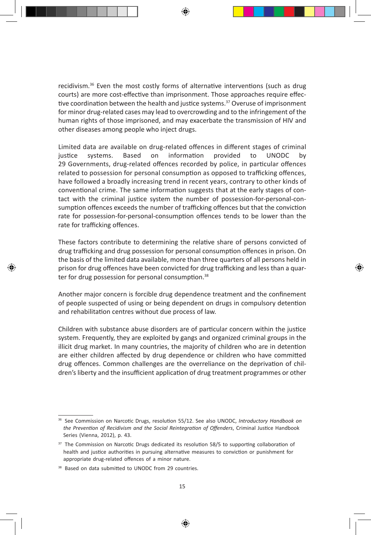recidivism. $36$  Even the most costly forms of alternative interventions (such as drug courts) are more cost-effective than imprisonment. Those approaches require effective coordination between the health and justice systems.<sup>37</sup> Overuse of imprisonment for minor drug-related cases may lead to overcrowding and to the infringement of the human rights of those imprisoned, and may exacerbate the transmission of HIV and other diseases among people who inject drugs.

Limited data are available on drug-related offences in different stages of criminal justice systems. Based on information provided to UNODC by 29 Governments, drug-related offences recorded by police, in particular offences related to possession for personal consumption as opposed to trafficking offences, have followed a broadly increasing trend in recent years, contrary to other kinds of conventional crime. The same information suggests that at the early stages of contact with the criminal justice system the number of possession-for-personal-consumption offences exceeds the number of trafficking offences but that the conviction rate for possession-for-personal-consumption offences tends to be lower than the rate for trafficking offences.

These factors contribute to determining the relative share of persons convicted of drug trafficking and drug possession for personal consumption offences in prison. On the basis of the limited data available, more than three quarters of all persons held in prison for drug offences have been convicted for drug trafficking and less than a quarter for drug possession for personal consumption.<sup>38</sup>

Another major concern is forcible drug dependence treatment and the confinement of people suspected of using or being dependent on drugs in compulsory detention and rehabilitation centres without due process of law.

Children with substance abuse disorders are of particular concern within the justice system. Frequently, they are exploited by gangs and organized criminal groups in the illicit drug market. In many countries, the majority of children who are in detention are either children affected by drug dependence or children who have committed drug offences. Common challenges are the overreliance on the deprivation of children's liberty and the insufficient application of drug treatment programmes or other

<sup>36</sup> See Commission on Narcotic Drugs, resolution 55/12. See also UNODC, *Introductory Handbook on the Prevention of Recidivism and the Social Reintegration of Offenders*, Criminal Justice Handbook Series (Vienna, 2012), p. 43.

<sup>&</sup>lt;sup>37</sup> The Commission on Narcotic Drugs dedicated its resolution 58/5 to supporting collaboration of health and justice authorities in pursuing alternative measures to conviction or punishment for appropriate drug-related offences of a minor nature.

<sup>&</sup>lt;sup>38</sup> Based on data submitted to UNODC from 29 countries.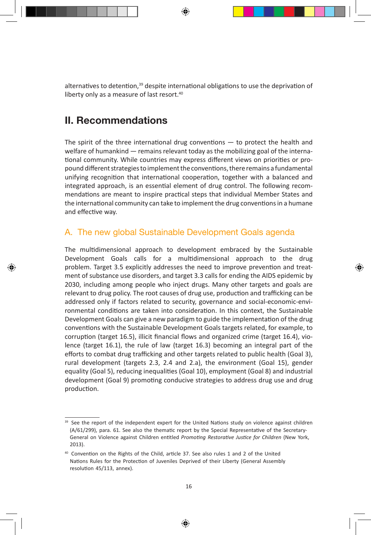alternatives to detention,<sup>39</sup> despite international obligations to use the deprivation of liberty only as a measure of last resort.<sup>40</sup>

# **II. Recommendations**

The spirit of the three international drug conventions  $-$  to protect the health and welfare of humankind — remains relevant today as the mobilizing goal of the international community. While countries may express different views on priorities or propound different strategies to implement the conventions, there remains a fundamental unifying recognition that international cooperation, together with a balanced and integrated approach, is an essential element of drug control. The following recommendations are meant to inspire practical steps that individual Member States and the international community can take to implement the drug conventions in a humane and effective way.

# A. The new global Sustainable Development Goals agenda

The multidimensional approach to development embraced by the Sustainable Development Goals calls for a multidimensional approach to the drug problem. Target 3.5 explicitly addresses the need to improve prevention and treatment of substance use disorders, and target 3.3 calls for ending the AIDS epidemic by 2030, including among people who inject drugs. Many other targets and goals are relevant to drug policy. The root causes of drug use, production and trafficking can be addressed only if factors related to security, governance and social-economic-environmental conditions are taken into consideration. In this context, the Sustainable Development Goals can give a new paradigm to guide the implementation of the drug conventions with the Sustainable Development Goals targets related, for example, to corruption (target 16.5), illicit financial flows and organized crime (target 16.4), violence (target 16.1), the rule of law (target 16.3) becoming an integral part of the efforts to combat drug trafficking and other targets related to public health (Goal 3), rural development (targets 2.3, 2.4 and 2.a), the environment (Goal 15), gender equality (Goal 5), reducing inequalities (Goal 10), employment (Goal 8) and industrial development (Goal 9) promoting conducive strategies to address drug use and drug production.

<sup>&</sup>lt;sup>39</sup> See the report of the independent expert for the United Nations study on violence against children (A/61/299), para. 61. See also the thematic report by the Special Representative of the Secretary-General on Violence against Children entitled *Promoting Restorative Justice for Children* (New York, 2013).

<sup>40</sup> Convention on the Rights of the Child, article 37. See also rules 1 and 2 of the United Nations Rules for the Protection of Juveniles Deprived of their Liberty (General Assembly resolution 45/113, annex).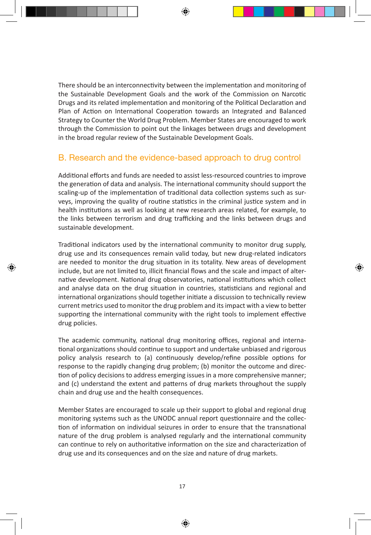There should be an interconnectivity between the implementation and monitoring of the Sustainable Development Goals and the work of the Commission on Narcotic Drugs and its related implementation and monitoring of the Political Declaration and Plan of Action on International Cooperation towards an Integrated and Balanced Strategy to Counter the World Drug Problem. Member States are encouraged to work through the Commission to point out the linkages between drugs and development in the broad regular review of the Sustainable Development Goals.

### B. Research and the evidence-based approach to drug control

Additional efforts and funds are needed to assist less-resourced countries to improve the generation of data and analysis. The international community should support the scaling-up of the implementation of traditional data collection systems such as surveys, improving the quality of routine statistics in the criminal justice system and in health institutions as well as looking at new research areas related, for example, to the links between terrorism and drug trafficking and the links between drugs and sustainable development.

Traditional indicators used by the international community to monitor drug supply, drug use and its consequences remain valid today, but new drug-related indicators are needed to monitor the drug situation in its totality. New areas of development include, but are not limited to, illicit financial flows and the scale and impact of alternative development. National drug observatories, national institutions which collect and analyse data on the drug situation in countries, statisticians and regional and international organizations should together initiate a discussion to technically review current metrics used to monitor the drug problem and its impact with a view to better supporting the international community with the right tools to implement effective drug policies.

The academic community, national drug monitoring offices, regional and international organizations should continue to support and undertake unbiased and rigorous policy analysis research to (a) continuously develop/refine possible options for response to the rapidly changing drug problem; (b) monitor the outcome and direction of policy decisions to address emerging issues in a more comprehensive manner; and (c) understand the extent and patterns of drug markets throughout the supply chain and drug use and the health consequences.

Member States are encouraged to scale up their support to global and regional drug monitoring systems such as the UNODC annual report questionnaire and the collection of information on individual seizures in order to ensure that the transnational nature of the drug problem is analysed regularly and the international community can continue to rely on authoritative information on the size and characterization of drug use and its consequences and on the size and nature of drug markets.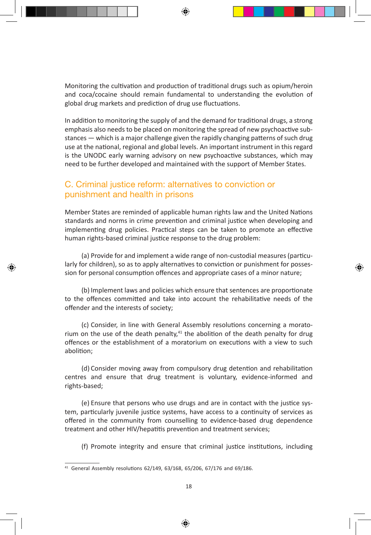Monitoring the cultivation and production of traditional drugs such as opium/heroin and coca/cocaine should remain fundamental to understanding the evolution of global drug markets and prediction of drug use fluctuations.

In addition to monitoring the supply of and the demand for traditional drugs, a strong emphasis also needs to be placed on monitoring the spread of new psychoactive substances — which is a major challenge given the rapidly changing patterns of such drug use at the national, regional and global levels. An important instrument in this regard is the UNODC early warning advisory on new psychoactive substances, which may need to be further developed and maintained with the support of Member States.

### C. Criminal justice reform: alternatives to conviction or punishment and health in prisons

Member States are reminded of applicable human rights law and the United Nations standards and norms in crime prevention and criminal justice when developing and implementing drug policies. Practical steps can be taken to promote an effective human rights-based criminal justice response to the drug problem:

(a) Provide for and implement a wide range of non-custodial measures (particularly for children), so as to apply alternatives to conviction or punishment for possession for personal consumption offences and appropriate cases of a minor nature;

(b) Implement laws and policies which ensure that sentences are proportionate to the offences committed and take into account the rehabilitative needs of the offender and the interests of society;

(c) Consider, in line with General Assembly resolutions concerning a moratorium on the use of the death penalty, $41$  the abolition of the death penalty for drug offences or the establishment of a moratorium on executions with a view to such abolition;

(d) Consider moving away from compulsory drug detention and rehabilitation centres and ensure that drug treatment is voluntary, evidence-informed and rights-based;

(e) Ensure that persons who use drugs and are in contact with the justice system, particularly juvenile justice systems, have access to a continuity of services as offered in the community from counselling to evidence-based drug dependence treatment and other HIV/hepatitis prevention and treatment services;

(f) Promote integrity and ensure that criminal justice institutions, including

<sup>41</sup> General Assembly resolutions 62/149, 63/168, 65/206, 67/176 and 69/186.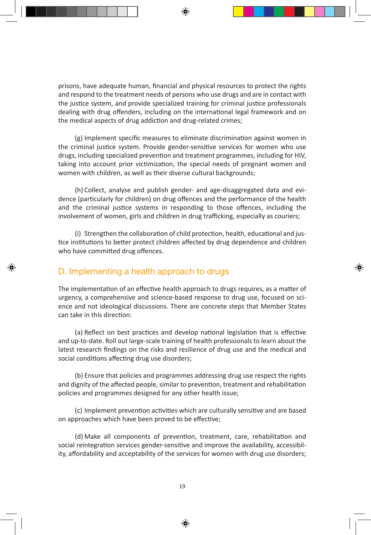prisons, have adequate human, financial and physical resources to protect the rights and respond to the treatment needs of persons who use drugs and are in contact with the justice system, and provide specialized training for criminal justice professionals dealing with drug offenders, including on the international legal framework and on the medical aspects of drug addiction and drug-related crimes;

(g) Implement specific measures to eliminate discrimination against women in the criminal justice system. Provide gender-sensitive services for women who use drugs, including specialized prevention and treatment programmes, including for HIV, taking into account prior victimization, the special needs of pregnant women and women with children, as well as their diverse cultural backgrounds;

(h) Collect, analyse and publish gender- and age-disaggregated data and evidence (particularly for children) on drug offences and the performance of the health and the criminal justice systems in responding to those offences, including the involvement of women, girls and children in drug trafficking, especially as couriers;

(i) Strengthen the collaboration of child protection, health, educational and justice institutions to better protect children affected by drug dependence and children who have committed drug offences.

## D. Implementing a health approach to drugs

The implementation of an effective health approach to drugs requires, as a matter of urgency, a comprehensive and science-based response to drug use, focused on science and not ideological discussions. There are concrete steps that Member States can take in this direction:

(a) Reflect on best practices and develop national legislation that is effective and up-to-date. Roll out large-scale training of health professionals to learn about the latest research findings on the risks and resilience of drug use and the medical and social conditions affecting drug use disorders;

(b) Ensure that policies and programmes addressing drug use respect the rights and dignity of the affected people, similar to prevention, treatment and rehabilitation policies and programmes designed for any other health issue;

(c) Implement prevention activities which are culturally sensitive and are based on approaches which have been proved to be effective;

(d) Make all components of prevention, treatment, care, rehabilitation and social reintegration services gender-sensitive and improve the availability, accessibility, affordability and acceptability of the services for women with drug use disorders;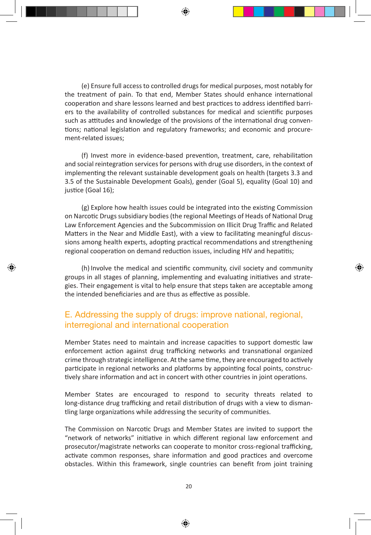(e) Ensure full access to controlled drugs for medical purposes, most notably for the treatment of pain. To that end, Member States should enhance international cooperation and share lessons learned and best practices to address identified barriers to the availability of controlled substances for medical and scientific purposes such as attitudes and knowledge of the provisions of the international drug conventions; national legislation and regulatory frameworks; and economic and procurement-related issues;

(f) Invest more in evidence-based prevention, treatment, care, rehabilitation and social reintegration services for persons with drug use disorders, in the context of implementing the relevant sustainable development goals on health (targets 3.3 and 3.5 of the Sustainable Development Goals), gender (Goal 5), equality (Goal 10) and justice (Goal 16);

(g) Explore how health issues could be integrated into the existing Commission on Narcotic Drugs subsidiary bodies (the regional Meetings of Heads of National Drug Law Enforcement Agencies and the Subcommission on Illicit Drug Traffic and Related Matters in the Near and Middle East), with a view to facilitating meaningful discussions among health experts, adopting practical recommendations and strengthening regional cooperation on demand reduction issues, including HIV and hepatitis;

(h) Involve the medical and scientific community, civil society and community groups in all stages of planning, implementing and evaluating initiatives and strategies. Their engagement is vital to help ensure that steps taken are acceptable among the intended beneficiaries and are thus as effective as possible.

### E. Addressing the supply of drugs: improve national, regional, interregional and international cooperation

Member States need to maintain and increase capacities to support domestic law enforcement action against drug trafficking networks and transnational organized crime through strategic intelligence. At the same time, they are encouraged to actively participate in regional networks and platforms by appointing focal points, constructively share information and act in concert with other countries in joint operations.

Member States are encouraged to respond to security threats related to long-distance drug trafficking and retail distribution of drugs with a view to dismantling large organizations while addressing the security of communities.

The Commission on Narcotic Drugs and Member States are invited to support the "network of networks" initiative in which different regional law enforcement and prosecutor/magistrate networks can cooperate to monitor cross-regional trafficking, activate common responses, share information and good practices and overcome obstacles. Within this framework, single countries can benefit from joint training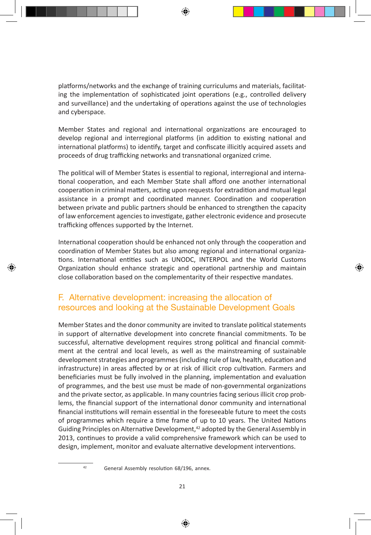platforms/networks and the exchange of training curriculums and materials, facilitating the implementation of sophisticated joint operations (e.g., controlled delivery and surveillance) and the undertaking of operations against the use of technologies and cyberspace.

Member States and regional and international organizations are encouraged to develop regional and interregional platforms (in addition to existing national and international platforms) to identify, target and confiscate illicitly acquired assets and proceeds of drug trafficking networks and transnational organized crime.

The political will of Member States is essential to regional, interregional and international cooperation, and each Member State shall afford one another international cooperation in criminal matters, acting upon requests for extradition and mutual legal assistance in a prompt and coordinated manner. Coordination and cooperation between private and public partners should be enhanced to strengthen the capacity of law enforcement agencies to investigate, gather electronic evidence and prosecute trafficking offences supported by the Internet.

International cooperation should be enhanced not only through the cooperation and coordination of Member States but also among regional and international organizations. International entities such as UNODC, INTERPOL and the World Customs Organization should enhance strategic and operational partnership and maintain close collaboration based on the complementarity of their respective mandates.

# F. Alternative development: increasing the allocation of resources and looking at the Sustainable Development Goals

Member States and the donor community are invited to translate political statements in support of alternative development into concrete financial commitments. To be successful, alternative development requires strong political and financial commitment at the central and local levels, as well as the mainstreaming of sustainable development strategies and programmes (including rule of law, health, education and infrastructure) in areas affected by or at risk of illicit crop cultivation. Farmers and beneficiaries must be fully involved in the planning, implementation and evaluation of programmes, and the best use must be made of non-governmental organizations and the private sector, as applicable. In many countries facing serious illicit crop problems, the financial support of the international donor community and international financial institutions will remain essential in the foreseeable future to meet the costs of programmes which require a time frame of up to 10 years. The United Nations Guiding Principles on Alternative Development,<sup>42</sup> adopted by the General Assembly in 2013, continues to provide a valid comprehensive framework which can be used to design, implement, monitor and evaluate alternative development interventions.

<sup>42</sup> General Assembly resolution 68/196, annex.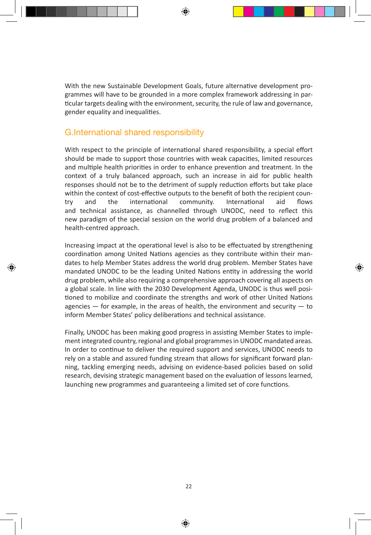With the new Sustainable Development Goals, future alternative development programmes will have to be grounded in a more complex framework addressing in particular targets dealing with the environment, security, the rule of law and governance, gender equality and inequalities.

### G.International shared responsibility

With respect to the principle of international shared responsibility, a special effort should be made to support those countries with weak capacities, limited resources and multiple health priorities in order to enhance prevention and treatment. In the context of a truly balanced approach, such an increase in aid for public health responses should not be to the detriment of supply reduction efforts but take place within the context of cost-effective outputs to the benefit of both the recipient country and the international community. International aid flows and technical assistance, as channelled through UNODC, need to reflect this new paradigm of the special session on the world drug problem of a balanced and health-centred approach.

Increasing impact at the operational level is also to be effectuated by strengthening coordination among United Nations agencies as they contribute within their mandates to help Member States address the world drug problem. Member States have mandated UNODC to be the leading United Nations entity in addressing the world drug problem, while also requiring a comprehensive approach covering all aspects on a global scale. In line with the 2030 Development Agenda, UNODC is thus well positioned to mobilize and coordinate the strengths and work of other United Nations agencies  $-$  for example, in the areas of health, the environment and security  $-$  to inform Member States' policy deliberations and technical assistance.

Finally, UNODC has been making good progress in assisting Member States to implement integrated country, regional and global programmes in UNODC mandated areas. In order to continue to deliver the required support and services, UNODC needs to rely on a stable and assured funding stream that allows for significant forward planning, tackling emerging needs, advising on evidence-based policies based on solid research, devising strategic management based on the evaluation of lessons learned, launching new programmes and guaranteeing a limited set of core functions.